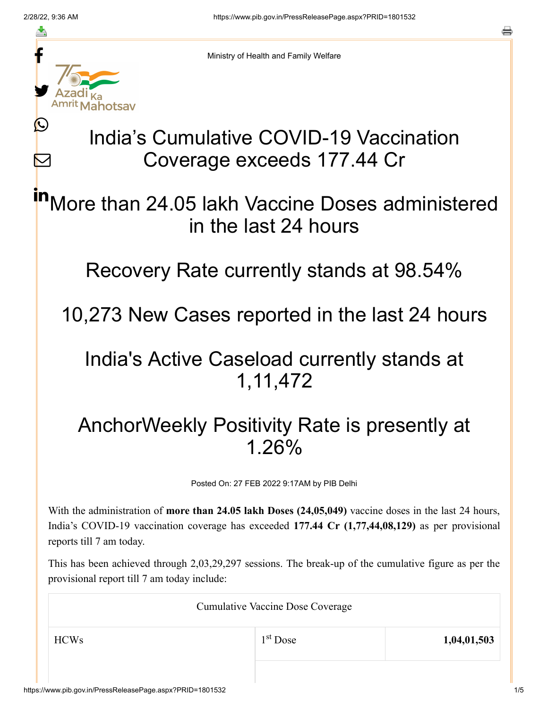≛

Ŀ

 $\bm{\nabla}$ 



Ministry of Health and Family Welfare

## India's Cumulative COVID-19 Vaccination Coverage exceeds 177.44 Cr

More than 24.05 lakh Vaccine Doses administered in the last 24 hours in

Recovery Rate currently stands at 98.54%

10,273 New Cases reported in the last 24 hours

## India's Active Caseload currently stands at 1,11,472

## AnchorWeekly Positivity Rate is presently at 1.26%

Posted On: 27 FEB 2022 9:17AM by PIB Delhi

With the administration of **more than 24.05 lakh Doses (24,05,049)** vaccine doses in the last 24 hours, India's COVID-19 vaccination coverage has exceeded **177.44 Cr (1,77,44,08,129)** as per provisional reports till 7 am today.

This has been achieved through 2,03,29,297 sessions. The break-up of the cumulative figure as per the provisional report till 7 am today include:

| <b>Cumulative Vaccine Dose Coverage</b> |            |             |  |
|-----------------------------------------|------------|-------------|--|
| <b>HCWs</b>                             | $1st$ Dose | 1,04,01,503 |  |
|                                         |            |             |  |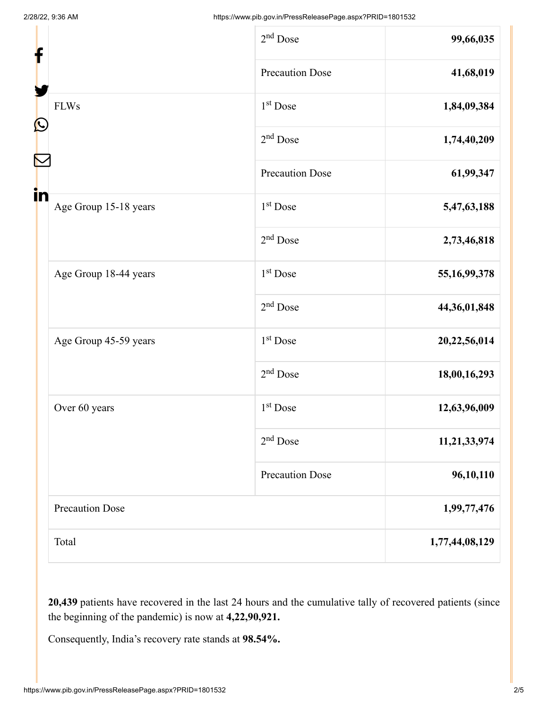| f<br>$\mathbf{\Omega}$ |                        | $2nd$ Dose             | 99,66,035       |
|------------------------|------------------------|------------------------|-----------------|
|                        |                        | <b>Precaution Dose</b> | 41,68,019       |
|                        | <b>FLWs</b>            | 1 <sup>st</sup> Dose   | 1,84,09,384     |
|                        |                        | $2nd$ Dose             | 1,74,40,209     |
|                        |                        | <b>Precaution Dose</b> | 61,99,347       |
| in                     | Age Group 15-18 years  | 1 <sup>st</sup> Dose   | 5,47,63,188     |
|                        |                        | $2nd$ Dose             | 2,73,46,818     |
|                        | Age Group 18-44 years  | 1 <sup>st</sup> Dose   | 55, 16, 99, 378 |
|                        |                        | $2nd$ Dose             | 44,36,01,848    |
|                        | Age Group 45-59 years  | 1 <sup>st</sup> Dose   | 20,22,56,014    |
|                        |                        | $2nd$ Dose             | 18,00,16,293    |
|                        | Over 60 years          | 1 <sup>st</sup> Dose   | 12,63,96,009    |
|                        |                        | $2nd$ Dose             | 11,21,33,974    |
|                        |                        | <b>Precaution Dose</b> | 96,10,110       |
|                        | <b>Precaution Dose</b> |                        | 1,99,77,476     |
|                        | Total                  |                        | 1,77,44,08,129  |

**20,439** patients have recovered in the last 24 hours and the cumulative tally of recovered patients (since the beginning of the pandemic) is now at **4,22,90,921.**

Consequently, India's recovery rate stands at **98.54%.**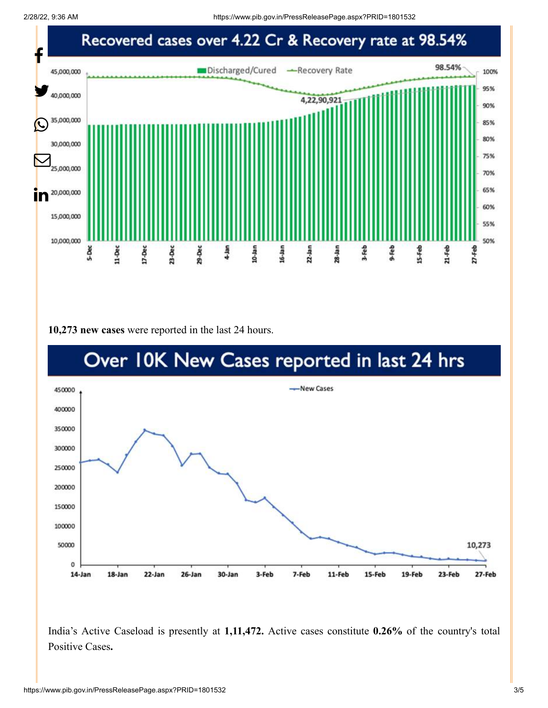2/28/22, 9:36 AM https://www.pib.gov.in/PressReleasePage.aspx?PRID=1801532



**10,273 new cases** were reported in the last 24 hours.



India's Active Caseload is presently at **1,11,472.** Active cases constitute **0.26%** of the country's total Positive Cases**.**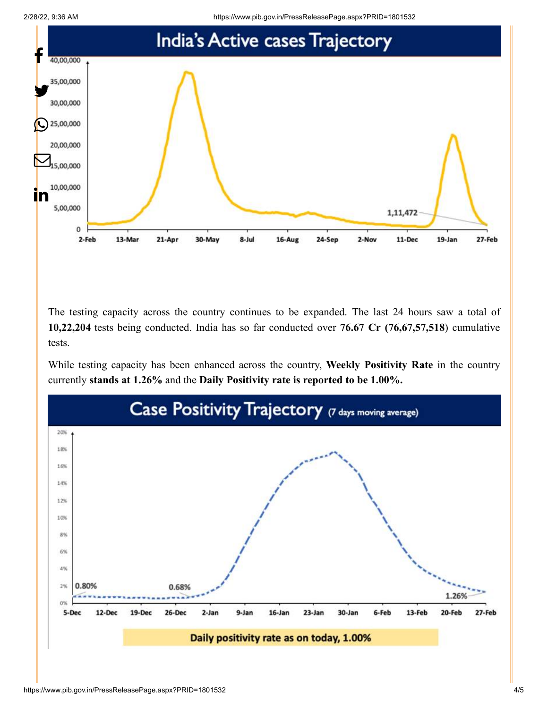

The testing capacity across the country continues to be expanded. The last 24 hours saw a total of **10,22,204** tests being conducted. India has so far conducted over **76.67 Cr (76,67,57,518**) cumulative tests.

While testing capacity has been enhanced across the country, **Weekly Positivity Rate** in the country currently **stands at 1.26%** and the **Daily Positivity rate is reported to be 1.00%.**